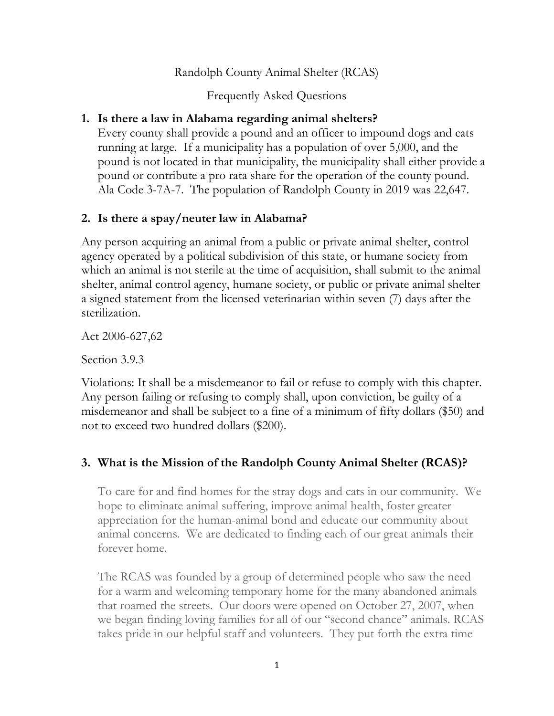Randolph County Animal Shelter (RCAS)

Frequently Asked Questions

# 1. Is there a law in Alabama regarding animal shelters?

Every county shall provide a pound and an officer to impound dogs and cats running at large. If a municipality has a population of over 5,000, and the pound is not located in that municipality, the municipality shall either provide a pound or contribute a pro rata share for the operation of the county pound. Ala Code 3-7A-7. The population of Randolph County in 2019 was 22,647.

# 2. Is there a spay/neuter law in Alabama?

Any person acquiring an animal from a public or private animal shelter, control agency operated by a political subdivision of this state, or humane society from which an animal is not sterile at the time of acquisition, shall submit to the animal shelter, animal control agency, humane society, or public or private animal shelter a signed statement from the licensed veterinarian within seven (7) days after the sterilization.

Act 2006-627,62

Section 3.9.3

Violations: It shall be a misdemeanor to fail or refuse to comply with this chapter. Any person failing or refusing to comply shall, upon conviction, be guilty of a misdemeanor and shall be subject to a fine of a minimum of fifty dollars (\$50) and not to exceed two hundred dollars (\$200).

# 3. What is the Mission of the Randolph County Animal Shelter (RCAS)?

To care for and find homes for the stray dogs and cats in our community. We hope to eliminate animal suffering, improve animal health, foster greater appreciation for the human-animal bond and educate our community about animal concerns. We are dedicated to finding each of our great animals their forever home.

The RCAS was founded by a group of determined people who saw the need for a warm and welcoming temporary home for the many abandoned animals that roamed the streets. Our doors were opened on October 27, 2007, when we began finding loving families for all of our "second chance" animals. RCAS takes pride in our helpful staff and volunteers. They put forth the extra time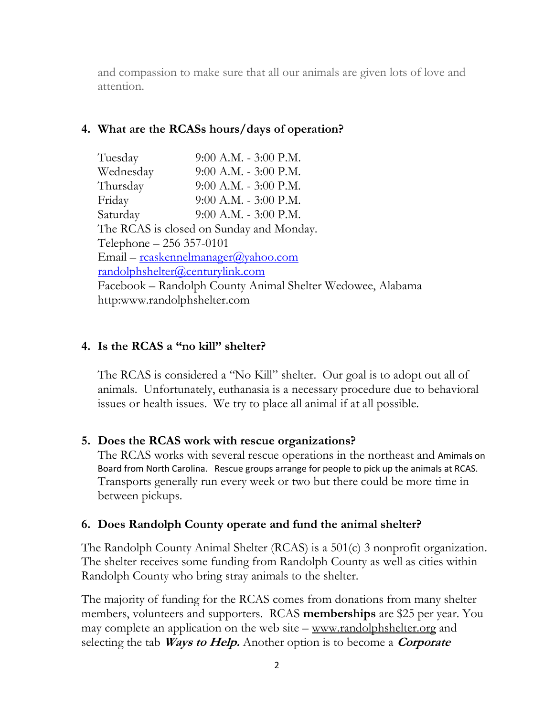and compassion to make sure that all our animals are given lots of love and attention.

## 4. What are the RCASs hours/days of operation?

| Tuesday                                                    | 9:00 A.M. - 3:00 P.M.     |  |
|------------------------------------------------------------|---------------------------|--|
| Wednesday                                                  | $9:00$ A.M. $-3:00$ P.M.  |  |
| Thursday                                                   | $9:00$ A.M. - $3:00$ P.M. |  |
| Friday                                                     | $9:00$ A.M. - $3:00$ P.M. |  |
| Saturday                                                   | $9:00$ A.M. $-3:00$ P.M.  |  |
| The RCAS is closed on Sunday and Monday.                   |                           |  |
| Telephone – 256 357-0101                                   |                           |  |
| Email – reaskennelmanager@yahoo.com                        |                           |  |
| <u>randolphshelter@centurylink.com</u>                     |                           |  |
| Facebook – Randolph County Animal Shelter Wedowee, Alabama |                           |  |
| http:www.randolphshelter.com                               |                           |  |

## 4. Is the RCAS a "no kill" shelter?

The RCAS is considered a "No Kill" shelter. Our goal is to adopt out all of animals. Unfortunately, euthanasia is a necessary procedure due to behavioral issues or health issues. We try to place all animal if at all possible.

## 5. Does the RCAS work with rescue organizations?

The RCAS works with several rescue operations in the northeast and Amimals on Board from North Carolina. Rescue groups arrange for people to pick up the animals at RCAS. Transports generally run every week or two but there could be more time in between pickups.

## 6. Does Randolph County operate and fund the animal shelter?

The Randolph County Animal Shelter (RCAS) is a 501(c) 3 nonprofit organization. The shelter receives some funding from Randolph County as well as cities within Randolph County who bring stray animals to the shelter.

The majority of funding for the RCAS comes from donations from many shelter members, volunteers and supporters. RCAS memberships are \$25 per year. You may complete an application on the web site – www.randolphshelter.org and selecting the tab *Ways to Help*. Another option is to become a *Corporate*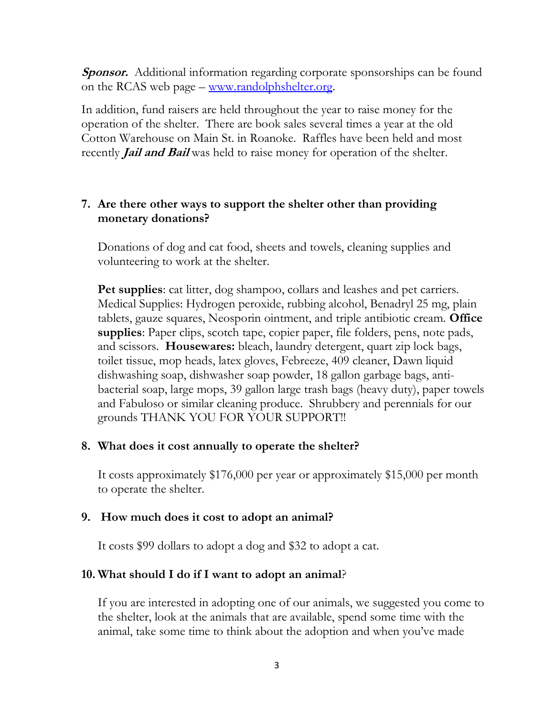**Sponsor.** Additional information regarding corporate sponsorships can be found on the RCAS web page – www.randolphshelter.org.

In addition, fund raisers are held throughout the year to raise money for the operation of the shelter. There are book sales several times a year at the old Cotton Warehouse on Main St. in Roanoke. Raffles have been held and most recently *Jail and Bail* was held to raise money for operation of the shelter.

## 7. Are there other ways to support the shelter other than providing monetary donations?

Donations of dog and cat food, sheets and towels, cleaning supplies and volunteering to work at the shelter.

Pet supplies: cat litter, dog shampoo, collars and leashes and pet carriers. Medical Supplies: Hydrogen peroxide, rubbing alcohol, Benadryl 25 mg, plain tablets, gauze squares, Neosporin ointment, and triple antibiotic cream. Office supplies: Paper clips, scotch tape, copier paper, file folders, pens, note pads, and scissors. Housewares: bleach, laundry detergent, quart zip lock bags, toilet tissue, mop heads, latex gloves, Febreeze, 409 cleaner, Dawn liquid dishwashing soap, dishwasher soap powder, 18 gallon garbage bags, antibacterial soap, large mops, 39 gallon large trash bags (heavy duty), paper towels and Fabuloso or similar cleaning produce. Shrubbery and perennials for our grounds THANK YOU FOR YOUR SUPPORT!!

#### 8. What does it cost annually to operate the shelter?

It costs approximately \$176,000 per year or approximately \$15,000 per month to operate the shelter.

#### 9. How much does it cost to adopt an animal?

It costs \$99 dollars to adopt a dog and \$32 to adopt a cat.

#### 10. What should I do if I want to adopt an animal?

If you are interested in adopting one of our animals, we suggested you come to the shelter, look at the animals that are available, spend some time with the animal, take some time to think about the adoption and when you've made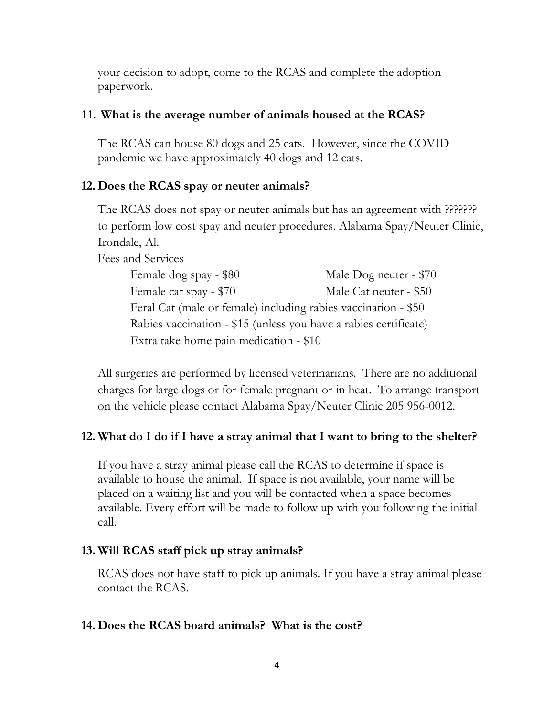your decision to adopt, come to the RCAS and complete the adoption paperwork.

## 11. What is the average number of animals housed at the RCAS?

The RCAS can house 80 dogs and 25 cats. However, since the COVID pandemic we have approximately 40 dogs and 12 cats.

## 12. Does the RCAS spay or neuter animals?

The RCAS does not spay or neuter animals but has an agreement with ??????? to perform low cost spay and neuter procedures. Alabama Spay/Neuter Clinic, Irondale, Al.

Fees and Services

| Female dog spay - \$80                                           | Male Dog neuter - \$70 |  |
|------------------------------------------------------------------|------------------------|--|
| Female cat spay - \$70                                           | Male Cat neuter - \$50 |  |
| Feral Cat (male or female) including rabies vaccination - \$50   |                        |  |
| Rabies vaccination - \$15 (unless you have a rabies certificate) |                        |  |
| Extra take home pain medication - \$10                           |                        |  |

All surgeries are performed by licensed veterinarians. There are no additional charges for large dogs or for female pregnant or in heat. To arrange transport on the vehicle please contact Alabama Spay/Neuter Clinic 205 956-0012.

## 12. What do I do if I have a stray animal that I want to bring to the shelter?

If you have a stray animal please call the RCAS to determine if space is available to house the animal. If space is not available, your name will be placed on a waiting list and you will be contacted when a space becomes available. Every effort will be made to follow up with you following the initial call.

## 13. Will RCAS staff pick up stray animals?

RCAS does not have staff to pick up animals. If you have a stray animal please contact the RCAS.

#### 14. Does the RCAS board animals? What is the cost?